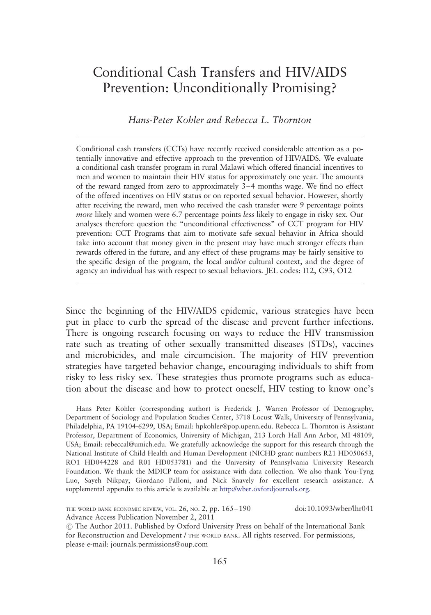# Conditional Cash Transfers and HIV/AIDS Prevention: Unconditionally Promising?

Hans-Peter Kohler and Rebecca L. Thornton

Conditional cash transfers (CCTs) have recently received considerable attention as a potentially innovative and effective approach to the prevention of HIV/AIDS. We evaluate a conditional cash transfer program in rural Malawi which offered financial incentives to men and women to maintain their HIV status for approximately one year. The amounts of the reward ranged from zero to approximately 3–4 months wage. We find no effect of the offered incentives on HIV status or on reported sexual behavior. However, shortly after receiving the reward, men who received the cash transfer were 9 percentage points *more* likely and women were 6.7 percentage points *less* likely to engage in risky sex. Our analyses therefore question the "unconditional effectiveness" of CCT program for HIV prevention: CCT Programs that aim to motivate safe sexual behavior in Africa should take into account that money given in the present may have much stronger effects than rewards offered in the future, and any effect of these programs may be fairly sensitive to the specific design of the program, the local and/or cultural context, and the degree of agency an individual has with respect to sexual behaviors. JEL codes: I12, C93, O12

Since the beginning of the HIV/AIDS epidemic, various strategies have been put in place to curb the spread of the disease and prevent further infections. There is ongoing research focusing on ways to reduce the HIV transmission rate such as treating of other sexually transmitted diseases (STDs), vaccines and microbicides, and male circumcision. The majority of HIV prevention strategies have targeted behavior change, encouraging individuals to shift from risky to less risky sex. These strategies thus promote programs such as education about the disease and how to protect oneself, HIV testing to know one's

Hans Peter Kohler (corresponding author) is Frederick J. Warren Professor of Demography, Department of Sociology and Population Studies Center, 3718 Locust Walk, University of Pennsylvania, Philadelphia, PA 19104-6299, USA; Email: hpkohler@pop.upenn.edu. Rebecca L. Thornton is Assistant Professor, Department of Economics, University of Michigan, 213 Lorch Hall Ann Arbor, MI 48109, USA; Email: rebeccal@umich.edu. We gratefully acknowledge the support for this research through the National Institute of Child Health and Human Development (NICHD grant numbers R21 HD050653, RO1 HD044228 and R01 HD053781) and the University of Pennsylvania University Research Foundation. We thank the MDICP team for assistance with data collection. We also thank You-Tyng Luo, Sayeh Nikpay, Giordano Palloni, and Nick Snavely for excellent research assistance. A supplemental appendix to this article is available at <http://wber.oxfordjournals.org>.

THE WORLD BANK ECONOMIC REVIEW, VOL. 26, NO. 2, pp. 165 –190 doi:10.1093/wber/lhr041 Advance Access Publication November 2, 2011

 $\odot$  The Author 2011. Published by Oxford University Press on behalf of the International Bank for Reconstruction and Development / THE WORLD BANK. All rights reserved. For permissions, please e-mail: journals.permissions@oup.com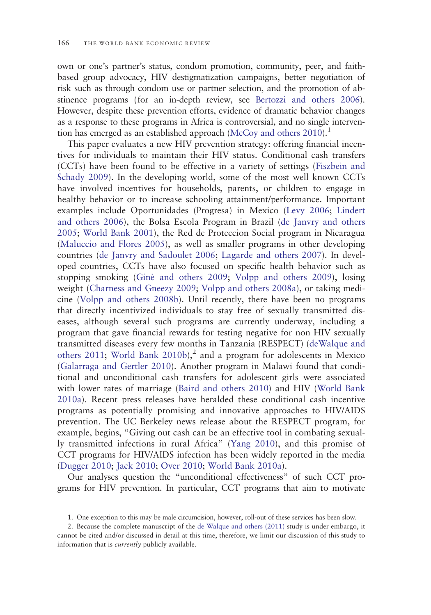own or one's partner's status, condom promotion, community, peer, and faithbased group advocacy, HIV destigmatization campaigns, better negotiation of risk such as through condom use or partner selection, and the promotion of abstinence programs (for an in-depth review, see [Bertozzi and others 2006\)](#page-22-0). However, despite these prevention efforts, evidence of dramatic behavior changes as a response to these programs in Africa is controversial, and no single intervention has emerged as an established approach (McCoy and others  $2010$ ).<sup>1</sup>

This paper evaluates a new HIV prevention strategy: offering financial incentives for individuals to maintain their HIV status. Conditional cash transfers (CCTs) have been found to be effective in a variety of settings [\(Fiszbein and](#page-23-0) [Schady 2009\)](#page-23-0). In the developing world, some of the most well known CCTs have involved incentives for households, parents, or children to engage in healthy behavior or to increase schooling attainment/performance. Important examples include Oportunidades (Progresa) in Mexico ([Levy 2006](#page-24-0); [Lindert](#page-24-0) [and others 2006](#page-24-0)), the Bolsa Escola Program in Brazil [\(de Janvry and others](#page-22-0) [2005](#page-22-0); [World Bank 2001](#page-25-0)), the Red de Proteccion Social program in Nicaragua [\(Maluccio and Flores 2005\)](#page-24-0), as well as smaller programs in other developing countries ([de Janvry and Sadoulet 2006;](#page-22-0) [Lagarde and others 2007](#page-23-0)). In developed countries, CCTs have also focused on specific health behavior such as stopping smoking (Giné [and others 2009](#page-23-0); [Volpp and others 2009\)](#page-24-0), losing weight ([Charness and Gneezy 2009](#page-22-0); [Volpp and others 2008a](#page-24-0)), or taking medicine [\(Volpp and others 2008b\)](#page-24-0). Until recently, there have been no programs that directly incentivized individuals to stay free of sexually transmitted diseases, although several such programs are currently underway, including a program that gave financial rewards for testing negative for non HIV sexually transmitted diseases every few months in Tanzania (RESPECT) ([deWalque and](#page-23-0) [others 2011](#page-23-0); [World Bank 2010b\)](#page-25-0),<sup>2</sup> and a program for adolescents in Mexico [\(Galarraga and Gertler 2010\)](#page-23-0). Another program in Malawi found that conditional and unconditional cash transfers for adolescent girls were associated with lower rates of marriage ([Baird and others 2010](#page-22-0)) and HIV ([World Bank](#page-25-0) [2010a](#page-25-0)). Recent press releases have heralded these conditional cash incentive programs as potentially promising and innovative approaches to HIV/AIDS prevention. The UC Berkeley news release about the RESPECT program, for example, begins, "Giving out cash can be an effective tool in combating sexually transmitted infections in rural Africa" ([Yang 2010](#page-25-0)), and this promise of CCT programs for HIV/AIDS infection has been widely reported in the media [\(Dugger 2010;](#page-23-0) [Jack 2010;](#page-23-0) [Over 2010;](#page-24-0) [World Bank 2010a](#page-25-0)).

Our analyses question the "unconditional effectiveness" of such CCT programs for HIV prevention. In particular, CCT programs that aim to motivate

<sup>1.</sup> One exception to this may be male circumcision, however, roll-out of these services has been slow.

<sup>2.</sup> Because the complete manuscript of the [de Walque and others \(2011\)](#page-23-0) study is under embargo, it cannot be cited and/or discussed in detail at this time, therefore, we limit our discussion of this study to information that is *currently* publicly available.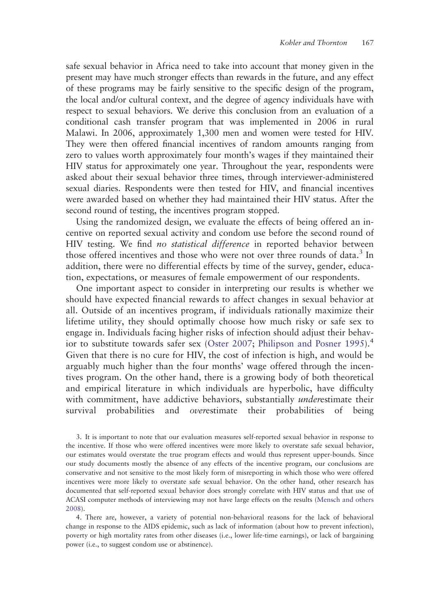safe sexual behavior in Africa need to take into account that money given in the present may have much stronger effects than rewards in the future, and any effect of these programs may be fairly sensitive to the specific design of the program, the local and/or cultural context, and the degree of agency individuals have with respect to sexual behaviors. We derive this conclusion from an evaluation of a conditional cash transfer program that was implemented in 2006 in rural Malawi. In 2006, approximately 1,300 men and women were tested for HIV. They were then offered financial incentives of random amounts ranging from zero to values worth approximately four month's wages if they maintained their HIV status for approximately one year. Throughout the year, respondents were asked about their sexual behavior three times, through interviewer-administered sexual diaries. Respondents were then tested for HIV, and financial incentives were awarded based on whether they had maintained their HIV status. After the second round of testing, the incentives program stopped.

Using the randomized design, we evaluate the effects of being offered an incentive on reported sexual activity and condom use before the second round of HIV testing. We find no statistical difference in reported behavior between those offered incentives and those who were not over three rounds of data.<sup>3</sup> In addition, there were no differential effects by time of the survey, gender, education, expectations, or measures of female empowerment of our respondents.

One important aspect to consider in interpreting our results is whether we should have expected financial rewards to affect changes in sexual behavior at all. Outside of an incentives program, if individuals rationally maximize their lifetime utility, they should optimally choose how much risky or safe sex to engage in. Individuals facing higher risks of infection should adjust their behav-ior to substitute towards safer sex ([Oster 2007;](#page-24-0) [Philipson and Posner 1995](#page-24-0)).<sup>4</sup> Given that there is no cure for HIV, the cost of infection is high, and would be arguably much higher than the four months' wage offered through the incentives program. On the other hand, there is a growing body of both theoretical and empirical literature in which individuals are hyperbolic, have difficulty with commitment, have addictive behaviors, substantially *underestimate their* survival probabilities and *overestimate* their probabilities of being

3. It is important to note that our evaluation measures self-reported sexual behavior in response to the incentive. If those who were offered incentives were more likely to overstate safe sexual behavior, our estimates would overstate the true program effects and would thus represent upper-bounds. Since our study documents mostly the absence of any effects of the incentive program, our conclusions are conservative and not sensitive to the most likely form of misreporting in which those who were offered incentives were more likely to overstate safe sexual behavior. On the other hand, other research has documented that self-reported sexual behavior does strongly correlate with HIV status and that use of ACASI computer methods of interviewing may not have large effects on the results ([Mensch and others](#page-24-0) [2008\)](#page-24-0).

4. There are, however, a variety of potential non-behavioral reasons for the lack of behavioral change in response to the AIDS epidemic, such as lack of information (about how to prevent infection), poverty or high mortality rates from other diseases (i.e., lower life-time earnings), or lack of bargaining power (i.e., to suggest condom use or abstinence).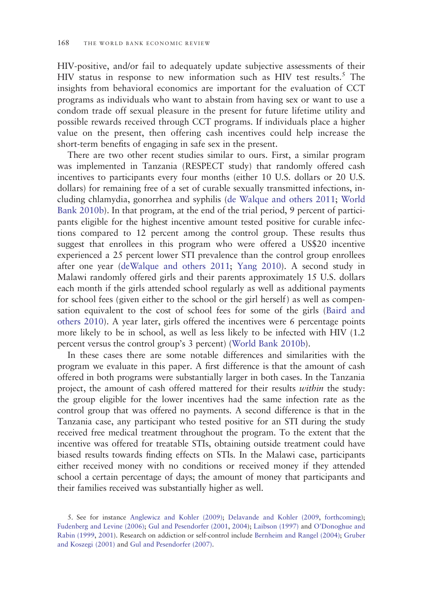HIV-positive, and/or fail to adequately update subjective assessments of their HIV status in response to new information such as HIV test results. $5$  The insights from behavioral economics are important for the evaluation of CCT programs as individuals who want to abstain from having sex or want to use a condom trade off sexual pleasure in the present for future lifetime utility and possible rewards received through CCT programs. If individuals place a higher value on the present, then offering cash incentives could help increase the short-term benefits of engaging in safe sex in the present.

There are two other recent studies similar to ours. First, a similar program was implemented in Tanzania (RESPECT study) that randomly offered cash incentives to participants every four months (either 10 U.S. dollars or 20 U.S. dollars) for remaining free of a set of curable sexually transmitted infections, including chlamydia, gonorrhea and syphilis ([de Walque and others 2011](#page-23-0); [World](#page-25-0) [Bank 2010b](#page-25-0)). In that program, at the end of the trial period, 9 percent of participants eligible for the highest incentive amount tested positive for curable infections compared to 12 percent among the control group. These results thus suggest that enrollees in this program who were offered a US\$20 incentive experienced a 25 percent lower STI prevalence than the control group enrollees after one year [\(deWalque and others 2011;](#page-23-0) [Yang 2010\)](#page-25-0). A second study in Malawi randomly offered girls and their parents approximately 15 U.S. dollars each month if the girls attended school regularly as well as additional payments for school fees (given either to the school or the girl herself) as well as compensation equivalent to the cost of school fees for some of the girls [\(Baird and](#page-22-0) [others 2010\)](#page-22-0). A year later, girls offered the incentives were 6 percentage points more likely to be in school, as well as less likely to be infected with HIV (1.2 percent versus the control group's 3 percent) [\(World Bank 2010b\)](#page-25-0).

In these cases there are some notable differences and similarities with the program we evaluate in this paper. A first difference is that the amount of cash offered in both programs were substantially larger in both cases. In the Tanzania project, the amount of cash offered mattered for their results *within* the study: the group eligible for the lower incentives had the same infection rate as the control group that was offered no payments. A second difference is that in the Tanzania case, any participant who tested positive for an STI during the study received free medical treatment throughout the program. To the extent that the incentive was offered for treatable STIs, obtaining outside treatment could have biased results towards finding effects on STIs. In the Malawi case, participants either received money with no conditions or received money if they attended school a certain percentage of days; the amount of money that participants and their families received was substantially higher as well.

<sup>5.</sup> See for instance [Anglewicz and Kohler \(2009\)](#page-22-0); [Delavande and Kohler \(2009,](#page-23-0) [forthcoming](#page-23-0)); [Fudenberg and Levine \(2006\);](#page-23-0) [Gul and Pesendorfer \(2001,](#page-23-0) [2004](#page-23-0)); [Laibson \(1997\)](#page-23-0) and [O'Donoghue and](#page-24-0) [Rabin \(1999](#page-24-0), [2001\)](#page-24-0). Research on addiction or self-control include [Bernheim and Rangel \(2004\);](#page-22-0) [Gruber](#page-23-0) [and Koszegi \(2001\)](#page-23-0) and [Gul and Pesendorfer \(2007\).](#page-23-0)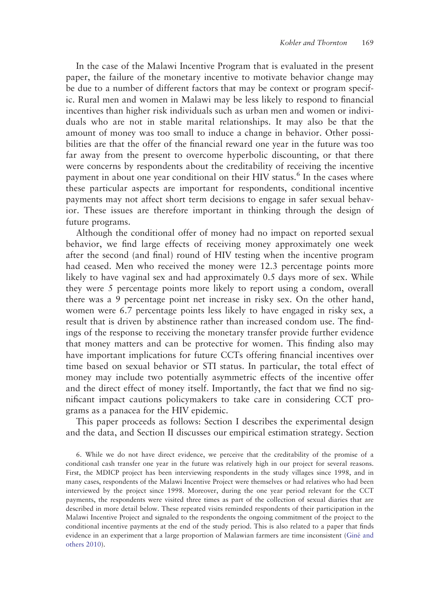In the case of the Malawi Incentive Program that is evaluated in the present paper, the failure of the monetary incentive to motivate behavior change may be due to a number of different factors that may be context or program specific. Rural men and women in Malawi may be less likely to respond to financial incentives than higher risk individuals such as urban men and women or individuals who are not in stable marital relationships. It may also be that the amount of money was too small to induce a change in behavior. Other possibilities are that the offer of the financial reward one year in the future was too far away from the present to overcome hyperbolic discounting, or that there were concerns by respondents about the creditability of receiving the incentive payment in about one year conditional on their HIV status.<sup>6</sup> In the cases where these particular aspects are important for respondents, conditional incentive payments may not affect short term decisions to engage in safer sexual behavior. These issues are therefore important in thinking through the design of future programs.

Although the conditional offer of money had no impact on reported sexual behavior, we find large effects of receiving money approximately one week after the second (and final) round of HIV testing when the incentive program had ceased. Men who received the money were 12.3 percentage points more likely to have vaginal sex and had approximately 0.5 days more of sex. While they were 5 percentage points more likely to report using a condom, overall there was a 9 percentage point net increase in risky sex. On the other hand, women were 6.7 percentage points less likely to have engaged in risky sex, a result that is driven by abstinence rather than increased condom use. The findings of the response to receiving the monetary transfer provide further evidence that money matters and can be protective for women. This finding also may have important implications for future CCTs offering financial incentives over time based on sexual behavior or STI status. In particular, the total effect of money may include two potentially asymmetric effects of the incentive offer and the direct effect of money itself. Importantly, the fact that we find no significant impact cautions policymakers to take care in considering CCT programs as a panacea for the HIV epidemic.

This paper proceeds as follows: Section I describes the experimental design and the data, and Section II discusses our empirical estimation strategy. Section

6. While we do not have direct evidence, we perceive that the creditability of the promise of a conditional cash transfer one year in the future was relatively high in our project for several reasons. First, the MDICP project has been interviewing respondents in the study villages since 1998, and in many cases, respondents of the Malawi Incentive Project were themselves or had relatives who had been interviewed by the project since 1998. Moreover, during the one year period relevant for the CCT payments, the respondents were visited three times as part of the collection of sexual diaries that are described in more detail below. These repeated visits reminded respondents of their participation in the Malawi Incentive Project and signaled to the respondents the ongoing commitment of the project to the conditional incentive payments at the end of the study period. This is also related to a paper that finds evidence in an experiment that a large proportion of Malawian farmers are time inconsistent (Giné and [others 2010](#page-23-0)).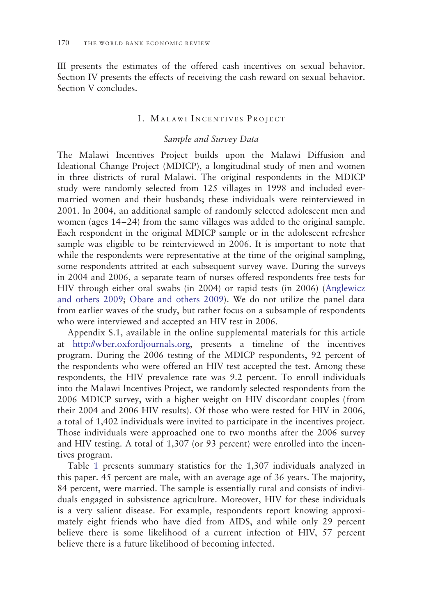III presents the estimates of the offered cash incentives on sexual behavior. Section IV presents the effects of receiving the cash reward on sexual behavior. Section V concludes.

#### I. MALAWI INCENTIVES PROJECT

# Sample and Survey Data

The Malawi Incentives Project builds upon the Malawi Diffusion and Ideational Change Project (MDICP), a longitudinal study of men and women in three districts of rural Malawi. The original respondents in the MDICP study were randomly selected from 125 villages in 1998 and included evermarried women and their husbands; these individuals were reinterviewed in 2001. In 2004, an additional sample of randomly selected adolescent men and women (ages 14–24) from the same villages was added to the original sample. Each respondent in the original MDICP sample or in the adolescent refresher sample was eligible to be reinterviewed in 2006. It is important to note that while the respondents were representative at the time of the original sampling, some respondents attrited at each subsequent survey wave. During the surveys in 2004 and 2006, a separate team of nurses offered respondents free tests for HIV through either oral swabs (in 2004) or rapid tests (in 2006) [\(Anglewicz](#page-22-0) [and others 2009;](#page-22-0) [Obare and others 2009](#page-24-0)). We do not utilize the panel data from earlier waves of the study, but rather focus on a subsample of respondents who were interviewed and accepted an HIV test in 2006.

Appendix S.1, available in the online supplemental materials for this article at <http://wber.oxfordjournals.org>, presents a timeline of the incentives program. During the 2006 testing of the MDICP respondents, 92 percent of the respondents who were offered an HIV test accepted the test. Among these respondents, the HIV prevalence rate was 9.2 percent. To enroll individuals into the Malawi Incentives Project, we randomly selected respondents from the 2006 MDICP survey, with a higher weight on HIV discordant couples (from their 2004 and 2006 HIV results). Of those who were tested for HIV in 2006, a total of 1,402 individuals were invited to participate in the incentives project. Those individuals were approached one to two months after the 2006 survey and HIV testing. A total of 1,307 (or 93 percent) were enrolled into the incentives program.

Table [1](#page-6-0) presents summary statistics for the 1,307 individuals analyzed in this paper. 45 percent are male, with an average age of 36 years. The majority, 84 percent, were married. The sample is essentially rural and consists of individuals engaged in subsistence agriculture. Moreover, HIV for these individuals is a very salient disease. For example, respondents report knowing approximately eight friends who have died from AIDS, and while only 29 percent believe there is some likelihood of a current infection of HIV, 57 percent believe there is a future likelihood of becoming infected.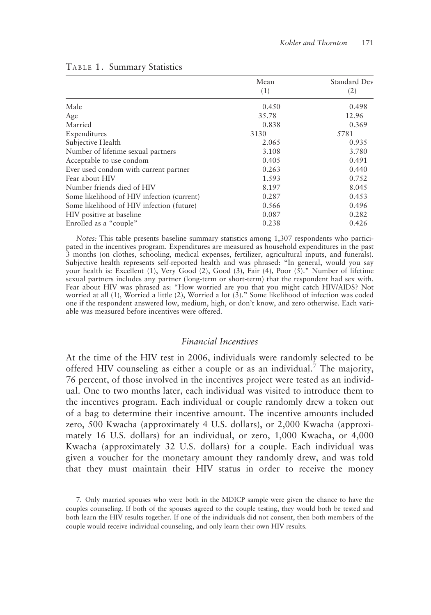|                                            | Mean  | Standard Dev |
|--------------------------------------------|-------|--------------|
|                                            | (1)   | (2)          |
| Male                                       | 0.450 | 0.498        |
| Age                                        | 35.78 | 12.96        |
| Married                                    | 0.838 | 0.369        |
| Expenditures                               | 3130  | 5781         |
| Subjective Health                          | 2.065 | 0.935        |
| Number of lifetime sexual partners         | 3.108 | 3.780        |
| Acceptable to use condom                   | 0.405 | 0.491        |
| Ever used condom with current partner      | 0.263 | 0.440        |
| Fear about HIV                             | 1.593 | 0.752        |
| Number friends died of HIV                 | 8.197 | 8.045        |
| Some likelihood of HIV infection (current) | 0.287 | 0.453        |
| Some likelihood of HIV infection (future)  | 0.566 | 0.496        |
| HIV positive at baseline                   | 0.087 | 0.282        |
| Enrolled as a "couple"                     | 0.238 | 0.426        |

#### <span id="page-6-0"></span>TABLE 1. Summary Statistics

Notes: This table presents baseline summary statistics among 1,307 respondents who participated in the incentives program. Expenditures are measured as household expenditures in the past 3 months (on clothes, schooling, medical expenses, fertilizer, agricultural inputs, and funerals). Subjective health represents self-reported health and was phrased: "In general, would you say your health is: Excellent (1), Very Good (2), Good (3), Fair (4), Poor (5)." Number of lifetime sexual partners includes any partner (long-term or short-term) that the respondent had sex with. Fear about HIV was phrased as: "How worried are you that you might catch HIV/AIDS? Not worried at all (1), Worried a little (2), Worried a lot (3)." Some likelihood of infection was coded one if the respondent answered low, medium, high, or don't know, and zero otherwise. Each variable was measured before incentives were offered.

#### Financial Incentives

At the time of the HIV test in 2006, individuals were randomly selected to be offered HIV counseling as either a couple or as an individual.<sup>7</sup> The majority, 76 percent, of those involved in the incentives project were tested as an individual. One to two months later, each individual was visited to introduce them to the incentives program. Each individual or couple randomly drew a token out of a bag to determine their incentive amount. The incentive amounts included zero, 500 Kwacha (approximately 4 U.S. dollars), or 2,000 Kwacha (approximately 16 U.S. dollars) for an individual, or zero, 1,000 Kwacha, or 4,000 Kwacha (approximately 32 U.S. dollars) for a couple. Each individual was given a voucher for the monetary amount they randomly drew, and was told that they must maintain their HIV status in order to receive the money

<sup>7.</sup> Only married spouses who were both in the MDICP sample were given the chance to have the couples counseling. If both of the spouses agreed to the couple testing, they would both be tested and both learn the HIV results together. If one of the individuals did not consent, then both members of the couple would receive individual counseling, and only learn their own HIV results.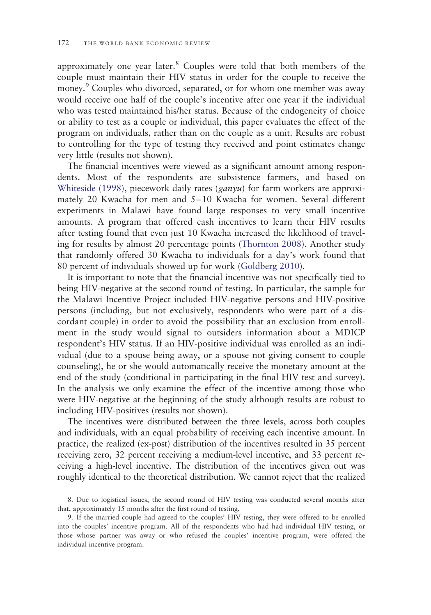approximately one year later.<sup>8</sup> Couples were told that both members of the couple must maintain their HIV status in order for the couple to receive the money.<sup>9</sup> Couples who divorced, separated, or for whom one member was away would receive one half of the couple's incentive after one year if the individual who was tested maintained his/her status. Because of the endogeneity of choice or ability to test as a couple or individual, this paper evaluates the effect of the program on individuals, rather than on the couple as a unit. Results are robust to controlling for the type of testing they received and point estimates change very little (results not shown).

The financial incentives were viewed as a significant amount among respondents. Most of the respondents are subsistence farmers, and based on [Whiteside \(1998\)](#page-24-0), piecework daily rates (ganyu) for farm workers are approximately 20 Kwacha for men and 5 –10 Kwacha for women. Several different experiments in Malawi have found large responses to very small incentive amounts. A program that offered cash incentives to learn their HIV results after testing found that even just 10 Kwacha increased the likelihood of traveling for results by almost 20 percentage points [\(Thornton 2008](#page-24-0)). Another study that randomly offered 30 Kwacha to individuals for a day's work found that 80 percent of individuals showed up for work [\(Goldberg 2010](#page-23-0)).

It is important to note that the financial incentive was not specifically tied to being HIV-negative at the second round of testing. In particular, the sample for the Malawi Incentive Project included HIV-negative persons and HIV-positive persons (including, but not exclusively, respondents who were part of a discordant couple) in order to avoid the possibility that an exclusion from enrollment in the study would signal to outsiders information about a MDICP respondent's HIV status. If an HIV-positive individual was enrolled as an individual (due to a spouse being away, or a spouse not giving consent to couple counseling), he or she would automatically receive the monetary amount at the end of the study (conditional in participating in the final HIV test and survey). In the analysis we only examine the effect of the incentive among those who were HIV-negative at the beginning of the study although results are robust to including HIV-positives (results not shown).

The incentives were distributed between the three levels, across both couples and individuals, with an equal probability of receiving each incentive amount. In practice, the realized (ex-post) distribution of the incentives resulted in 35 percent receiving zero, 32 percent receiving a medium-level incentive, and 33 percent receiving a high-level incentive. The distribution of the incentives given out was roughly identical to the theoretical distribution. We cannot reject that the realized

<sup>8.</sup> Due to logistical issues, the second round of HIV testing was conducted several months after that, approximately 15 months after the first round of testing.

<sup>9.</sup> If the married couple had agreed to the couples' HIV testing, they were offered to be enrolled into the couples' incentive program. All of the respondents who had had individual HIV testing, or those whose partner was away or who refused the couples' incentive program, were offered the individual incentive program.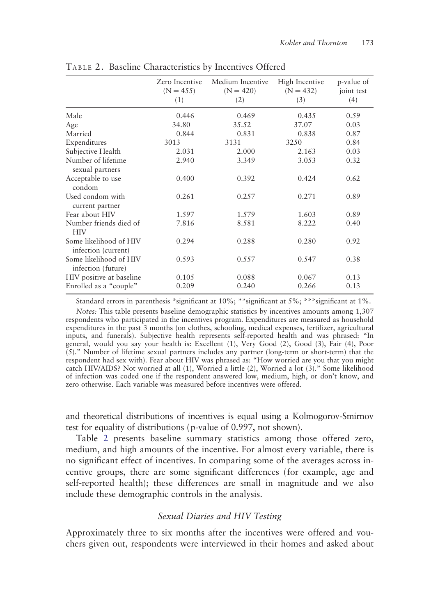|                                               | Zero Incentive<br>$(N = 455)$<br>(1) | Medium Incentive<br>$(N = 420)$<br>(2) | High Incentive<br>$(N = 432)$<br>(3) | p-value of<br>joint test<br>(4) |
|-----------------------------------------------|--------------------------------------|----------------------------------------|--------------------------------------|---------------------------------|
| Male                                          | 0.446                                | 0.469                                  | 0.435                                | 0.59                            |
| Age                                           | 34.80                                | 35.52                                  | 37.07                                | 0.03                            |
| Married                                       | 0.844                                | 0.831                                  | 0.838                                | 0.87                            |
| Expenditures                                  | 3013                                 | 3131                                   | 32.50                                | 0.84                            |
| Subjective Health                             | 2.031                                | 2.000                                  | 2.163                                | 0.03                            |
| Number of lifetime<br>sexual partners         | 2.940                                | 3.349                                  | 3.053                                | 0.32                            |
| Acceptable to use<br>condom                   | 0.400                                | 0.392                                  | 0.424                                | 0.62                            |
| Used condom with<br>current partner           | 0.261                                | 0.257                                  | 0.271                                | 0.89                            |
| Fear about HIV                                | 1.597                                | 1.579                                  | 1.603                                | 0.89                            |
| Number friends died of<br><b>HIV</b>          | 7.816                                | 8.581                                  | 8.222                                | 0.40                            |
| Some likelihood of HIV<br>infection (current) | 0.294                                | 0.288                                  | 0.280                                | 0.92                            |
| Some likelihood of HIV<br>infection (future)  | 0.593                                | 0.557                                  | 0.547                                | 0.38                            |
| HIV positive at baseline                      | 0.105                                | 0.088                                  | 0.067                                | 0.13                            |
| Enrolled as a "couple"                        | 0.209                                | 0.240                                  | 0.266                                | 0.13                            |

<span id="page-8-0"></span>TABLE 2. Baseline Characteristics by Incentives Offered

Standard errors in parenthesis \*significant at 10%; \*\*significant at 5%; \*\*\*significant at 1%.

Notes: This table presents baseline demographic statistics by incentives amounts among 1,307 respondents who participated in the incentives program. Expenditures are measured as household expenditures in the past 3 months (on clothes, schooling, medical expenses, fertilizer, agricultural inputs, and funerals). Subjective health represents self-reported health and was phrased: "In general, would you say your health is: Excellent (1), Very Good (2), Good (3), Fair (4), Poor (5)." Number of lifetime sexual partners includes any partner (long-term or short-term) that the respondent had sex with). Fear about HIV was phrased as: "How worried are you that you might catch HIV/AIDS? Not worried at all (1), Worried a little (2), Worried a lot (3)." Some likelihood of infection was coded one if the respondent answered low, medium, high, or don't know, and zero otherwise. Each variable was measured before incentives were offered.

and theoretical distributions of incentives is equal using a Kolmogorov-Smirnov test for equality of distributions (p-value of 0.997, not shown).

Table 2 presents baseline summary statistics among those offered zero, medium, and high amounts of the incentive. For almost every variable, there is no significant effect of incentives. In comparing some of the averages across incentive groups, there are some significant differences (for example, age and self-reported health); these differences are small in magnitude and we also include these demographic controls in the analysis.

# Sexual Diaries and HIV Testing

Approximately three to six months after the incentives were offered and vouchers given out, respondents were interviewed in their homes and asked about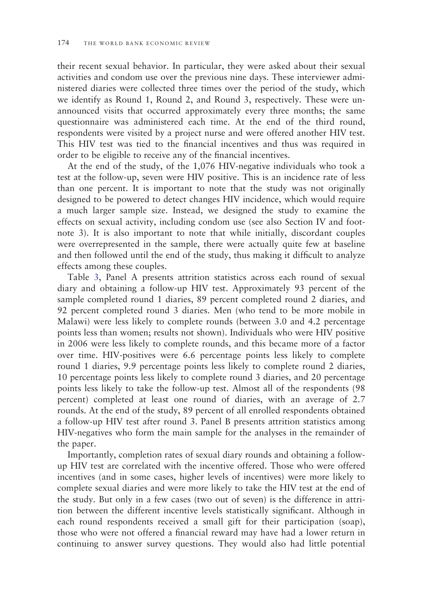their recent sexual behavior. In particular, they were asked about their sexual activities and condom use over the previous nine days. These interviewer administered diaries were collected three times over the period of the study, which we identify as Round 1, Round 2, and Round 3, respectively. These were unannounced visits that occurred approximately every three months; the same questionnaire was administered each time. At the end of the third round, respondents were visited by a project nurse and were offered another HIV test. This HIV test was tied to the financial incentives and thus was required in order to be eligible to receive any of the financial incentives.

At the end of the study, of the 1,076 HIV-negative individuals who took a test at the follow-up, seven were HIV positive. This is an incidence rate of less than one percent. It is important to note that the study was not originally designed to be powered to detect changes HIV incidence, which would require a much larger sample size. Instead, we designed the study to examine the effects on sexual activity, including condom use (see also Section IV and footnote 3). It is also important to note that while initially, discordant couples were overrepresented in the sample, there were actually quite few at baseline and then followed until the end of the study, thus making it difficult to analyze effects among these couples.

Table [3,](#page-10-0) Panel A presents attrition statistics across each round of sexual diary and obtaining a follow-up HIV test. Approximately 93 percent of the sample completed round 1 diaries, 89 percent completed round 2 diaries, and 92 percent completed round 3 diaries. Men (who tend to be more mobile in Malawi) were less likely to complete rounds (between 3.0 and 4.2 percentage points less than women; results not shown). Individuals who were HIV positive in 2006 were less likely to complete rounds, and this became more of a factor over time. HIV-positives were 6.6 percentage points less likely to complete round 1 diaries, 9.9 percentage points less likely to complete round 2 diaries, 10 percentage points less likely to complete round 3 diaries, and 20 percentage points less likely to take the follow-up test. Almost all of the respondents (98 percent) completed at least one round of diaries, with an average of 2.7 rounds. At the end of the study, 89 percent of all enrolled respondents obtained a follow-up HIV test after round 3. Panel B presents attrition statistics among HIV-negatives who form the main sample for the analyses in the remainder of the paper.

Importantly, completion rates of sexual diary rounds and obtaining a followup HIV test are correlated with the incentive offered. Those who were offered incentives (and in some cases, higher levels of incentives) were more likely to complete sexual diaries and were more likely to take the HIV test at the end of the study. But only in a few cases (two out of seven) is the difference in attrition between the different incentive levels statistically significant. Although in each round respondents received a small gift for their participation (soap), those who were not offered a financial reward may have had a lower return in continuing to answer survey questions. They would also had little potential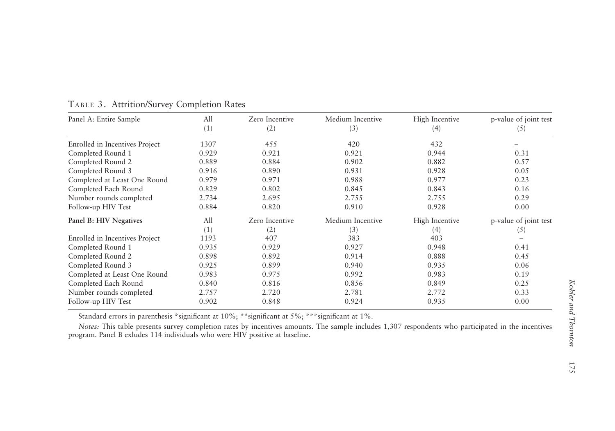| Panel A: Entire Sample         | A11<br>Zero Incentive<br>(1)<br>(2)<br>(3) |                | Medium Incentive | High Incentive<br>(4) | p-value of joint test<br>(5) |  |
|--------------------------------|--------------------------------------------|----------------|------------------|-----------------------|------------------------------|--|
| Enrolled in Incentives Project | 1307                                       | 455            | 420              | 432                   |                              |  |
| Completed Round 1              | 0.929                                      | 0.921          | 0.921            | 0.944                 | 0.31                         |  |
| Completed Round 2              | 0.889                                      | 0.884          | 0.902            | 0.882                 | 0.57                         |  |
| Completed Round 3              | 0.916                                      | 0.890          | 0.931            | 0.928                 | 0.05                         |  |
| Completed at Least One Round   | 0.979                                      | 0.971          | 0.988            | 0.977                 | 0.23                         |  |
| Completed Each Round           | 0.829                                      | 0.802          | 0.845            | 0.843                 | 0.16                         |  |
| Number rounds completed        | 2.734                                      | 2.695          | 2.755            | 2.755                 | 0.29                         |  |
| Follow-up HIV Test             | 0.884                                      | 0.820          | 0.910            | 0.928                 | 0.00                         |  |
| Panel B: HIV Negatives         | A11                                        | Zero Incentive | Medium Incentive | High Incentive        | p-value of joint test        |  |
|                                | (1)                                        | (2)            | (3)              | (4)                   | (5)                          |  |
| Enrolled in Incentives Project | 1193                                       | 407            | 383              | 403                   |                              |  |
| Completed Round 1              | 0.935                                      | 0.929          | 0.927            | 0.948                 | 0.41                         |  |
| Completed Round 2              | 0.898                                      | 0.892          | 0.914            | 0.888                 | 0.45                         |  |
| Completed Round 3              | 0.925                                      | 0.899          | 0.940            | 0.935                 | 0.06                         |  |
| Completed at Least One Round   | 0.983                                      | 0.975          | 0.992            | 0.983                 | 0.19                         |  |
| Completed Each Round           | 0.840                                      | 0.816          | 0.856            | 0.849                 | 0.25                         |  |
| Number rounds completed        | 2.757                                      | 2.720          | 2.781            | 2.772                 | 0.33                         |  |
| Follow-up HIV Test             | 0.902                                      | 0.848          | 0.924            | 0.935                 | 0.00                         |  |

<span id="page-10-0"></span>TABLE 3. Attrition/Survey Completion Rates

Standard errors in parenthesis \*significant at 10%; \*\*significant at 5%; \*\*\*significant at 1%.

Notes: This table presents survey completion rates by incentives amounts. The sample includes 1,307 respondents who participated in the incentives program. Panel B exludes 114 individuals who were HIV positive at baseline.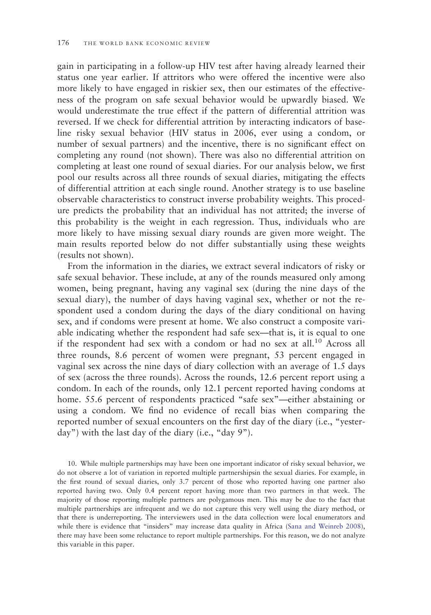gain in participating in a follow-up HIV test after having already learned their status one year earlier. If attritors who were offered the incentive were also more likely to have engaged in riskier sex, then our estimates of the effectiveness of the program on safe sexual behavior would be upwardly biased. We would underestimate the true effect if the pattern of differential attrition was reversed. If we check for differential attrition by interacting indicators of baseline risky sexual behavior (HIV status in 2006, ever using a condom, or number of sexual partners) and the incentive, there is no significant effect on completing any round (not shown). There was also no differential attrition on completing at least one round of sexual diaries. For our analysis below, we first pool our results across all three rounds of sexual diaries, mitigating the effects of differential attrition at each single round. Another strategy is to use baseline observable characteristics to construct inverse probability weights. This procedure predicts the probability that an individual has not attrited; the inverse of this probability is the weight in each regression. Thus, individuals who are more likely to have missing sexual diary rounds are given more weight. The main results reported below do not differ substantially using these weights (results not shown).

From the information in the diaries, we extract several indicators of risky or safe sexual behavior. These include, at any of the rounds measured only among women, being pregnant, having any vaginal sex (during the nine days of the sexual diary), the number of days having vaginal sex, whether or not the respondent used a condom during the days of the diary conditional on having sex, and if condoms were present at home. We also construct a composite variable indicating whether the respondent had safe sex—that is, it is equal to one if the respondent had sex with a condom or had no sex at all.<sup>10</sup> Across all three rounds, 8.6 percent of women were pregnant, 53 percent engaged in vaginal sex across the nine days of diary collection with an average of 1.5 days of sex (across the three rounds). Across the rounds, 12.6 percent report using a condom. In each of the rounds, only 12.1 percent reported having condoms at home. 55.6 percent of respondents practiced "safe sex"—either abstaining or using a condom. We find no evidence of recall bias when comparing the reported number of sexual encounters on the first day of the diary (i.e., "yesterday") with the last day of the diary (i.e., "day 9").

10. While multiple partnerships may have been one important indicator of risky sexual behavior, we do not observe a lot of variation in reported multiple partnershipsin the sexual diaries. For example, in the first round of sexual diaries, only 3.7 percent of those who reported having one partner also reported having two. Only 0.4 percent report having more than two partners in that week. The majority of those reporting multiple partners are polygamous men. This may be due to the fact that multiple partnerships are infrequent and we do not capture this very well using the diary method, or that there is underreporting. The interviewers used in the data collection were local enumerators and while there is evidence that "insiders" may increase data quality in Africa ([Sana and Weinreb 2008](#page-24-0)), there may have been some reluctance to report multiple partnerships. For this reason, we do not analyze this variable in this paper.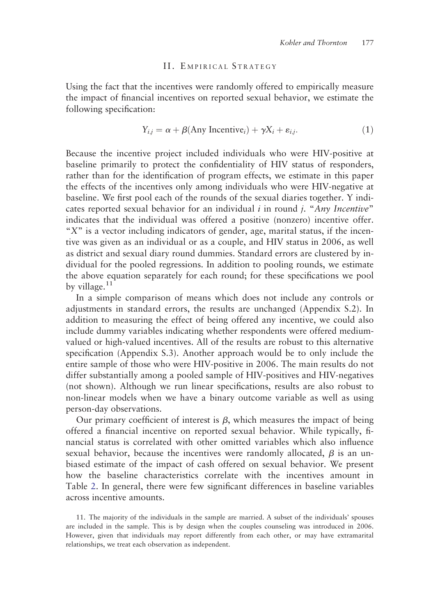#### II. EMPIRICAL STRATEGY

Using the fact that the incentives were randomly offered to empirically measure the impact of financial incentives on reported sexual behavior, we estimate the following specification:

$$
Y_{i,j} = \alpha + \beta(\text{Any Incentive}_i) + \gamma X_i + \varepsilon_{i,j}.
$$
 (1)

Because the incentive project included individuals who were HIV-positive at baseline primarily to protect the confidentiality of HIV status of responders, rather than for the identification of program effects, we estimate in this paper the effects of the incentives only among individuals who were HIV-negative at baseline. We first pool each of the rounds of the sexual diaries together. Y indicates reported sexual behavior for an individual i in round j. "Any Incentive" indicates that the individual was offered a positive (nonzero) incentive offer. " $X$ " is a vector including indicators of gender, age, marital status, if the incentive was given as an individual or as a couple, and HIV status in 2006, as well as district and sexual diary round dummies. Standard errors are clustered by individual for the pooled regressions. In addition to pooling rounds, we estimate the above equation separately for each round; for these specifications we pool by village. $11$ 

In a simple comparison of means which does not include any controls or adjustments in standard errors, the results are unchanged (Appendix S.2). In addition to measuring the effect of being offered any incentive, we could also include dummy variables indicating whether respondents were offered mediumvalued or high-valued incentives. All of the results are robust to this alternative specification (Appendix S.3). Another approach would be to only include the entire sample of those who were HIV-positive in 2006. The main results do not differ substantially among a pooled sample of HIV-positives and HIV-negatives (not shown). Although we run linear specifications, results are also robust to non-linear models when we have a binary outcome variable as well as using person-day observations.

Our primary coefficient of interest is  $\beta$ , which measures the impact of being offered a financial incentive on reported sexual behavior. While typically, financial status is correlated with other omitted variables which also influence sexual behavior, because the incentives were randomly allocated,  $\beta$  is an unbiased estimate of the impact of cash offered on sexual behavior. We present how the baseline characteristics correlate with the incentives amount in Table [2](#page-8-0). In general, there were few significant differences in baseline variables across incentive amounts.

<sup>11.</sup> The majority of the individuals in the sample are married. A subset of the individuals' spouses are included in the sample. This is by design when the couples counseling was introduced in 2006. However, given that individuals may report differently from each other, or may have extramarital relationships, we treat each observation as independent.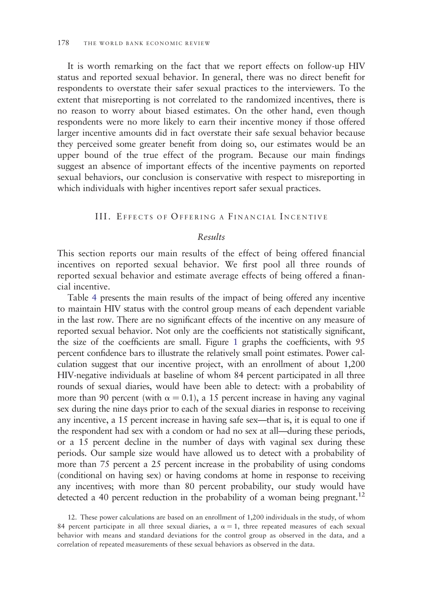It is worth remarking on the fact that we report effects on follow-up HIV status and reported sexual behavior. In general, there was no direct benefit for respondents to overstate their safer sexual practices to the interviewers. To the extent that misreporting is not correlated to the randomized incentives, there is no reason to worry about biased estimates. On the other hand, even though respondents were no more likely to earn their incentive money if those offered larger incentive amounts did in fact overstate their safe sexual behavior because they perceived some greater benefit from doing so, our estimates would be an upper bound of the true effect of the program. Because our main findings suggest an absence of important effects of the incentive payments on reported sexual behaviors, our conclusion is conservative with respect to misreporting in which individuals with higher incentives report safer sexual practices.

# III. EFFECTS OF OFFERING A FINANCIAL INCENTIVE

## Results

This section reports our main results of the effect of being offered financial incentives on reported sexual behavior. We first pool all three rounds of reported sexual behavior and estimate average effects of being offered a financial incentive.

Table [4](#page-14-0) presents the main results of the impact of being offered any incentive to maintain HIV status with the control group means of each dependent variable in the last row. There are no significant effects of the incentive on any measure of reported sexual behavior. Not only are the coefficients not statistically significant, the size of the coefficients are small. Figure [1](#page-15-0) graphs the coefficients, with 95 percent confidence bars to illustrate the relatively small point estimates. Power calculation suggest that our incentive project, with an enrollment of about 1,200 HIV-negative individuals at baseline of whom 84 percent participated in all three rounds of sexual diaries, would have been able to detect: with a probability of more than 90 percent (with  $\alpha = 0.1$ ), a 15 percent increase in having any vaginal sex during the nine days prior to each of the sexual diaries in response to receiving any incentive, a 15 percent increase in having safe sex—that is, it is equal to one if the respondent had sex with a condom or had no sex at all—during these periods, or a 15 percent decline in the number of days with vaginal sex during these periods. Our sample size would have allowed us to detect with a probability of more than 75 percent a 25 percent increase in the probability of using condoms (conditional on having sex) or having condoms at home in response to receiving any incentives; with more than 80 percent probability, our study would have detected a 40 percent reduction in the probability of a woman being pregnant.<sup>12</sup>

<sup>12.</sup> These power calculations are based on an enrollment of 1,200 individuals in the study, of whom 84 percent participate in all three sexual diaries, a  $\alpha = 1$ , three repeated measures of each sexual behavior with means and standard deviations for the control group as observed in the data, and a correlation of repeated measurements of these sexual behaviors as observed in the data.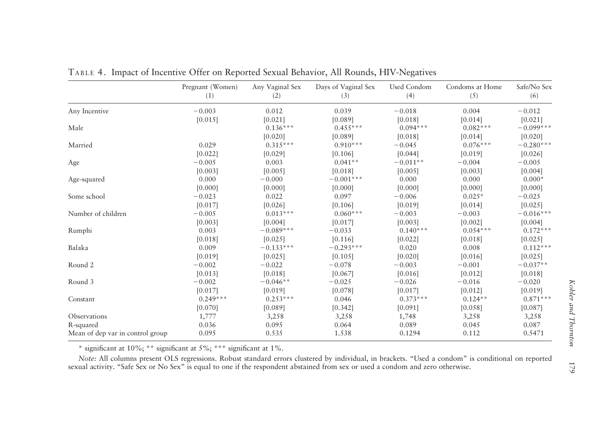|                                  | Pregnant (Women)<br>(1) | Any Vaginal Sex<br>(2) | Days of Vaginal Sex<br>(3) | Used Condom<br>(4) | Condoms at Home<br>(5) | Safe/No Sex<br>(6) |
|----------------------------------|-------------------------|------------------------|----------------------------|--------------------|------------------------|--------------------|
| Any Incentive                    | $-0.003$                | 0.012                  | 0.039                      | $-0.018$           | 0.004                  | $-0.012$           |
|                                  | [0.015]                 | [0.021]                | [0.089]                    | [0.018]            | [0.014]                | [0.021]            |
| Male                             |                         | $0.136***$             | $0.455***$                 | $0.094***$         | $0.082***$             | $-0.099***$        |
|                                  |                         | [0.020]                | [0.089]                    | [0.018]            | [0.014]                | [0.020]            |
| Married                          | 0.029                   | $0.315***$             | $0.910***$                 | $-0.045$           | $0.076***$             | $-0.280***$        |
|                                  | [0.022]                 | [0.029]                | [0.106]                    | [0.044]            | [0.019]                | [0.026]            |
| Age                              | $-0.005$                | 0.003                  | $0.041**$                  | $-0.011**$         | $-0.004$               | $-0.005$           |
|                                  | [0.003]                 | [0.005]                | [0.018]                    | [0.005]            | [0.003]                | [0.004]            |
| Age-squared                      | 0.000                   | $-0.000$               | $-0.001***$                | 0.000              | 0.000                  | $0.000*$           |
|                                  | [0.000]                 | [0.000]                | [0.000]                    | [0.000]            | [0.000]                | [0.000]            |
| Some school                      | $-0.023$                | 0.022                  | 0.097                      | $-0.006$           | $0.025*$               | $-0.025$           |
|                                  | [0.017]                 | [0.026]                | [0.106]                    | [0.019]            | [0.014]                | [0.025]            |
| Number of children               | $-0.005$                | $0.013***$             | $0.060***$                 | $-0.003$           | $-0.003$               | $-0.016***$        |
|                                  | [0.003]                 | [0.004]                | [0.017]                    | [0.003]            | [0.002]                | [0.004]            |
| Rumphi                           | 0.003                   | $-0.089***$            | $-0.033$                   | $0.140***$         | $0.054***$             | $0.172***$         |
|                                  | [0.018]                 | [0.025]                | [0.116]                    | [0.022]            | [0.018]                | [0.025]            |
| Balaka                           | 0.009                   | $-0.133***$            | $-0.293***$                | 0.020              | 0.008                  | $0.112***$         |
|                                  | [0.019]                 | [0.025]                | [0.105]                    | [0.020]            | [0.016]                | [0.025]            |
| Round 2                          | $-0.002$                | $-0.022$               | $-0.078$                   | $-0.003$           | $-0.001$               | $-0.037**$         |
|                                  | [0.013]                 | [0.018]                | [0.067]                    | [0.016]            | [0.012]                | [0.018]            |
| Round 3                          | $-0.002$                | $-0.046**$             | $-0.025$                   | $-0.026$           | $-0.016$               | $-0.020$           |
|                                  | [0.017]                 | [0.019]                | [0.078]                    | [0.017]            | [0.012]                | [0.019]            |
| Constant                         | $0.249***$              | $0.253***$             | 0.046                      | $0.373***$         | $0.124**$              | $0.871***$         |
|                                  | [0.070]                 | [0.089]                | [0.342]                    | [0.091]            | [0.058]                | [0.087]            |
| Observations                     | 1,777                   | 3,258                  | 3,258                      | 1,748              | 3,258                  | 3,258              |
| R-squared                        | 0.036                   | 0.095                  | 0.064                      | 0.089              | 0.045                  | 0.087              |
| Mean of dep var in control group | 0.095                   | 0.535                  | 1.538                      | 0.1294             | 0.112                  | 0.5471             |

<span id="page-14-0"></span>TABLE 4. Impact of Incentive Offer on Reported Sexual Behavior, All Rounds, HIV-Negatives

\* significant at 10%; \*\* significant at 5%; \*\*\* significant at 1%.

Note: All columns presen<sup>t</sup> OLS regressions. Robust standard errors clustered by individual, in brackets. "Used <sup>a</sup> condom" is conditional on reported sexual activity. "Safe Sex or No Sex" is equal to one if the respondent abstained from sex or used <sup>a</sup> condom and zero otherwise.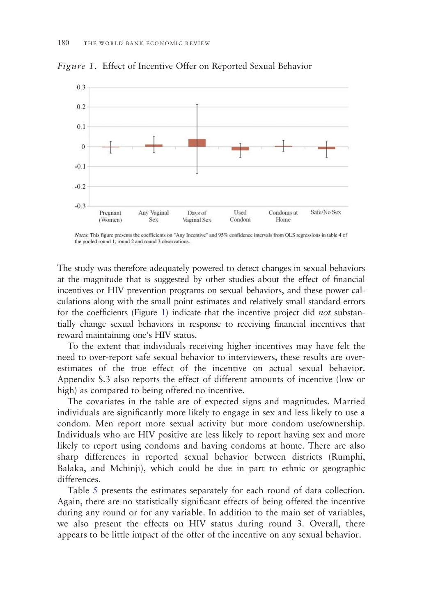

<span id="page-15-0"></span>Figure 1. Effect of Incentive Offer on Reported Sexual Behavior

The study was therefore adequately powered to detect changes in sexual behaviors at the magnitude that is suggested by other studies about the effect of financial incentives or HIV prevention programs on sexual behaviors, and these power calculations along with the small point estimates and relatively small standard errors for the coefficients (Figure 1) indicate that the incentive project did *not* substantially change sexual behaviors in response to receiving financial incentives that reward maintaining one's HIV status.

To the extent that individuals receiving higher incentives may have felt the need to over-report safe sexual behavior to interviewers, these results are overestimates of the true effect of the incentive on actual sexual behavior. Appendix S.3 also reports the effect of different amounts of incentive (low or high) as compared to being offered no incentive.

The covariates in the table are of expected signs and magnitudes. Married individuals are significantly more likely to engage in sex and less likely to use a condom. Men report more sexual activity but more condom use/ownership. Individuals who are HIV positive are less likely to report having sex and more likely to report using condoms and having condoms at home. There are also sharp differences in reported sexual behavior between districts (Rumphi, Balaka, and Mchinji), which could be due in part to ethnic or geographic differences.

Table [5](#page-16-0) presents the estimates separately for each round of data collection. Again, there are no statistically significant effects of being offered the incentive during any round or for any variable. In addition to the main set of variables, we also present the effects on HIV status during round 3. Overall, there appears to be little impact of the offer of the incentive on any sexual behavior.

Notes: This figure presents the coefficients on "Any Incentive" and 95% confidence intervals from OLS regressions in table 4 of the pooled round 1, round 2 and round 3 observations.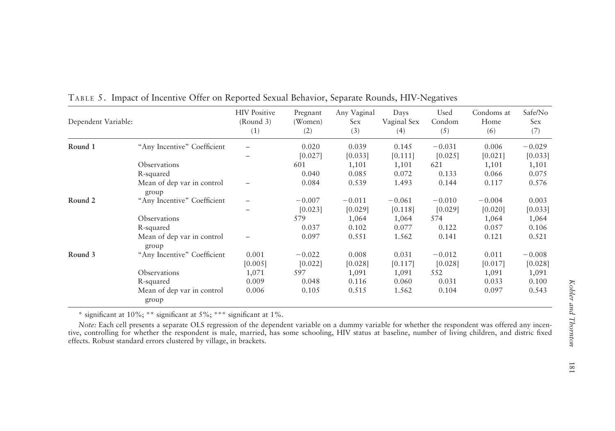| Dependent Variable: |                                     | <b>HIV</b> Positive<br>(Round 3)<br>(1) | Pregnant<br>(Women)<br>(2) | Any Vaginal<br>Sex<br>(3) | Days<br>Vaginal Sex<br>(4) | Used<br>Condom<br>(5) | Condoms at<br>Home<br>(6) | Safe/No<br>Sex<br>(7) |
|---------------------|-------------------------------------|-----------------------------------------|----------------------------|---------------------------|----------------------------|-----------------------|---------------------------|-----------------------|
| Round 1             | "Any Incentive" Coefficient         |                                         | 0.020                      | 0.039                     | 0.145                      | $-0.031$              | 0.006                     | $-0.029$              |
|                     |                                     |                                         | [0.027]                    | [0.033]                   | [0.111]                    | [0.025]               | [0.021]                   | [0.033]               |
|                     | <b>Observations</b>                 |                                         | 601                        | 1,101                     | 1,101                      | 621                   | 1,101                     | 1,101                 |
|                     | R-squared                           |                                         | 0.040                      | 0.085                     | 0.072                      | 0.133                 | 0.066                     | 0.075                 |
|                     | Mean of dep var in control<br>group |                                         | 0.084                      | 0.539                     | 1.493                      | 0.144                 | 0.117                     | 0.576                 |
| Round 2             | "Any Incentive" Coefficient         |                                         | $-0.007$                   | $-0.011$                  | $-0.061$                   | $-0.010$              | $-0.004$                  | 0.003                 |
|                     |                                     |                                         | [0.023]                    | [0.029]                   | [0.118]                    | [0.029]               | [0.020]                   | [0.033]               |
|                     | <b>Observations</b>                 |                                         | 579                        | 1,064                     | 1,064                      | 574                   | 1,064                     | 1,064                 |
|                     | R-squared                           |                                         | 0.037                      | 0.102                     | 0.077                      | 0.122                 | 0.057                     | 0.106                 |
|                     | Mean of dep var in control<br>group |                                         | 0.097                      | 0.551                     | 1.562                      | 0.141                 | 0.121                     | 0.521                 |
| Round 3             | "Any Incentive" Coefficient         | 0.001                                   | $-0.022$                   | 0.008                     | 0.031                      | $-0.012$              | 0.011                     | $-0.008$              |
|                     |                                     | [0.005]                                 | [0.022]                    | [0.028]                   | [0.117]                    | [0.028]               | [0.017]                   | [0.028]               |
|                     | <b>Observations</b>                 | 1,071                                   | 597                        | 1,091                     | 1,091                      | 552                   | 1,091                     | 1,091                 |
|                     | R-squared                           | 0.009                                   | 0.048                      | 0.116                     | 0.060                      | 0.031                 | 0.033                     | 0.100                 |
|                     | Mean of dep var in control<br>group | 0.006                                   | 0.105                      | 0.515                     | 1.562                      | 0.104                 | 0.097                     | 0.543                 |

<span id="page-16-0"></span>TABLE 5. Impact of Incentive Offer on Reported Sexual Behavior, Separate Rounds, HIV-Negatives

\* significant at 10%; \*\* significant at 5%; \*\*\* significant at 1%.

Note: Each cell presents a separate OLS regression of the dependent variable on a dummy variable for whether the respondent was offered any incentive, controlling for whether the respondent is male, married, has some schooling, HIV status at baseline, number of living children, and distric fixed effects. Robust standard errors clustered by village, in brackets.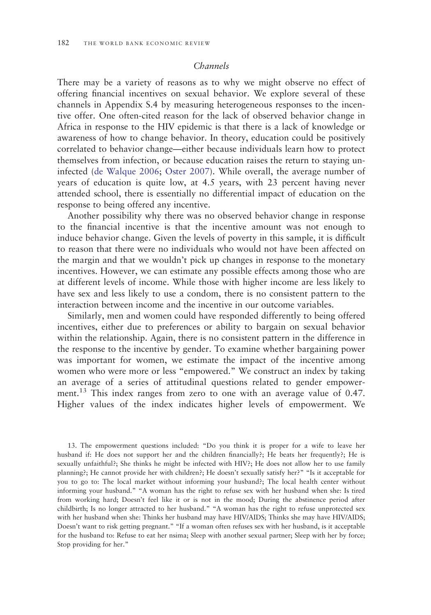## **Channels**

There may be a variety of reasons as to why we might observe no effect of offering financial incentives on sexual behavior. We explore several of these channels in Appendix S.4 by measuring heterogeneous responses to the incentive offer. One often-cited reason for the lack of observed behavior change in Africa in response to the HIV epidemic is that there is a lack of knowledge or awareness of how to change behavior. In theory, education could be positively correlated to behavior change—either because individuals learn how to protect themselves from infection, or because education raises the return to staying uninfected [\(de Walque 2006](#page-22-0); [Oster 2007\)](#page-24-0). While overall, the average number of years of education is quite low, at 4.5 years, with 23 percent having never attended school, there is essentially no differential impact of education on the response to being offered any incentive.

Another possibility why there was no observed behavior change in response to the financial incentive is that the incentive amount was not enough to induce behavior change. Given the levels of poverty in this sample, it is difficult to reason that there were no individuals who would not have been affected on the margin and that we wouldn't pick up changes in response to the monetary incentives. However, we can estimate any possible effects among those who are at different levels of income. While those with higher income are less likely to have sex and less likely to use a condom, there is no consistent pattern to the interaction between income and the incentive in our outcome variables.

Similarly, men and women could have responded differently to being offered incentives, either due to preferences or ability to bargain on sexual behavior within the relationship. Again, there is no consistent pattern in the difference in the response to the incentive by gender. To examine whether bargaining power was important for women, we estimate the impact of the incentive among women who were more or less "empowered." We construct an index by taking an average of a series of attitudinal questions related to gender empowerment.<sup>13</sup> This index ranges from zero to one with an average value of 0.47. Higher values of the index indicates higher levels of empowerment. We

13. The empowerment questions included: "Do you think it is proper for a wife to leave her husband if: He does not support her and the children financially?; He beats her frequently?; He is sexually unfaithful?; She thinks he might be infected with HIV?; He does not allow her to use family planning?; He cannot provide her with children?; He doesn't sexually satisfy her?" "Is it acceptable for you to go to: The local market without informing your husband?; The local health center without informing your husband." "A woman has the right to refuse sex with her husband when she: Is tired from working hard; Doesn't feel like it or is not in the mood; During the abstinence period after childbirth; Is no longer attracted to her husband." "A woman has the right to refuse unprotected sex with her husband when she: Thinks her husband may have HIV/AIDS; Thinks she may have HIV/AIDS; Doesn't want to risk getting pregnant." "If a woman often refuses sex with her husband, is it acceptable for the husband to: Refuse to eat her nsima; Sleep with another sexual partner; Sleep with her by force; Stop providing for her."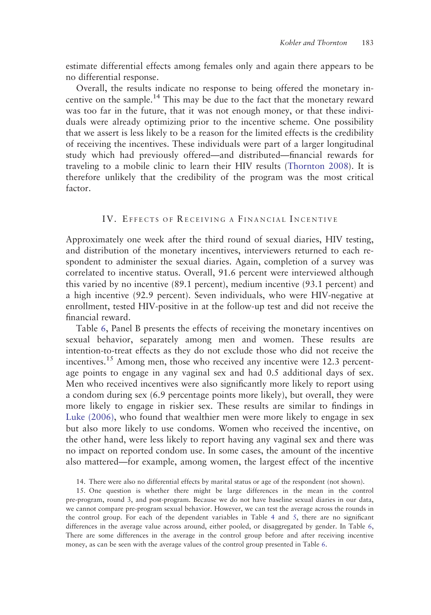estimate differential effects among females only and again there appears to be no differential response.

Overall, the results indicate no response to being offered the monetary incentive on the sample.<sup>14</sup> This may be due to the fact that the monetary reward was too far in the future, that it was not enough money, or that these individuals were already optimizing prior to the incentive scheme. One possibility that we assert is less likely to be a reason for the limited effects is the credibility of receiving the incentives. These individuals were part of a larger longitudinal study which had previously offered—and distributed—financial rewards for traveling to a mobile clinic to learn their HIV results [\(Thornton 2008](#page-24-0)). It is therefore unlikely that the credibility of the program was the most critical factor.

# IV. EFFECTS OF RECEIVING A FINANCIAL INCENTIVE

Approximately one week after the third round of sexual diaries, HIV testing, and distribution of the monetary incentives, interviewers returned to each respondent to administer the sexual diaries. Again, completion of a survey was correlated to incentive status. Overall, 91.6 percent were interviewed although this varied by no incentive (89.1 percent), medium incentive (93.1 percent) and a high incentive (92.9 percent). Seven individuals, who were HIV-negative at enrollment, tested HIV-positive in at the follow-up test and did not receive the financial reward.

Table [6,](#page-19-0) Panel B presents the effects of receiving the monetary incentives on sexual behavior, separately among men and women. These results are intention-to-treat effects as they do not exclude those who did not receive the incentives.<sup>15</sup> Among men, those who received any incentive were 12.3 percentage points to engage in any vaginal sex and had 0.5 additional days of sex. Men who received incentives were also significantly more likely to report using a condom during sex (6.9 percentage points more likely), but overall, they were more likely to engage in riskier sex. These results are similar to findings in [Luke \(2006\)](#page-24-0), who found that wealthier men were more likely to engage in sex but also more likely to use condoms. Women who received the incentive, on the other hand, were less likely to report having any vaginal sex and there was no impact on reported condom use. In some cases, the amount of the incentive also mattered—for example, among women, the largest effect of the incentive

14. There were also no differential effects by marital status or age of the respondent (not shown).

15. One question is whether there might be large differences in the mean in the control pre-program, round 3, and post-program. Because we do not have baseline sexual diaries in our data, we cannot compare pre-program sexual behavior. However, we can test the average across the rounds in the control group. For each of the dependent variables in Table [4](#page-14-0) and [5,](#page-16-0) there are no significant differences in the average value across around, either pooled, or disaggregated by gender. In Table [6,](#page-19-0) There are some differences in the average in the control group before and after receiving incentive money, as can be seen with the average values of the control group presented in Table [6](#page-19-0).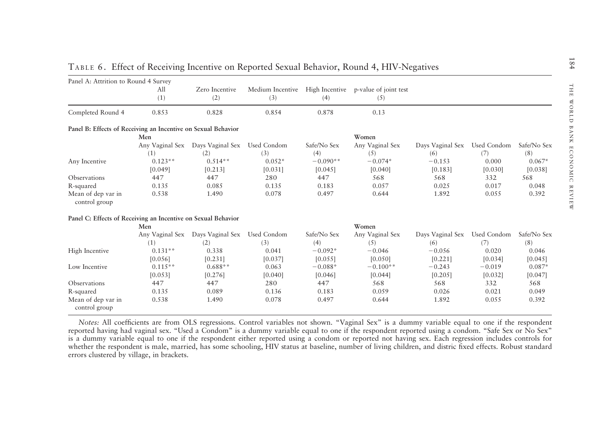| Panel A: Attrition to Round 4 Survey                          |            |                                  |                         |                       |                              |                  |             |             |
|---------------------------------------------------------------|------------|----------------------------------|-------------------------|-----------------------|------------------------------|------------------|-------------|-------------|
|                                                               | All<br>(1) | Zero Incentive<br>(2)            | Medium Incentive<br>(3) | High Incentive<br>(4) | p-value of joint test<br>(5) |                  |             |             |
| Completed Round 4                                             | 0.853      | 0.828                            | 0.854                   | 0.878                 | 0.13                         |                  |             |             |
| Panel B: Effects of Receiving an Incentive on Sexual Behavior |            |                                  |                         |                       |                              |                  |             |             |
|                                                               | Men        |                                  |                         |                       | Women                        |                  |             |             |
|                                                               |            | Any Vaginal Sex Days Vaginal Sex | Used Condom             | Safe/No Sex           | Any Vaginal Sex              | Days Vaginal Sex | Used Condom | Safe/No Sex |
|                                                               | (1)        | (2)                              | (3)                     | (4)                   | (5)                          | (6)              | (7)         | (8)         |
| Any Incentive                                                 | $0.123**$  | $0.514**$                        | $0.052*$                | $-0.090**$            | $-0.074*$                    | $-0.153$         | 0.000       | $0.067*$    |
|                                                               | [0.049]    | [0.213]                          | [0.031]                 | [0.045]               | [0.040]                      | [0.183]          | [0.030]     | [0.038]     |
| Observations                                                  | 447        | 447                              | 280                     | 447                   | 568                          | 568              | 332         | 568         |
| R-squared                                                     | 0.135      | 0.085                            | 0.135                   | 0.183                 | 0.057                        | 0.025            | 0.017       | 0.048       |
| Mean of dep var in<br>control group                           | 0.538      | 1.490                            | 0.078                   | 0.497                 | 0.644                        | 1.892            | 0.055       | 0.392       |
| Panel C: Effects of Receiving an Incentive on Sexual Behavior |            |                                  |                         |                       |                              |                  |             |             |
|                                                               | Men        |                                  |                         |                       | Women                        |                  |             |             |
|                                                               |            | Any Vaginal Sex Days Vaginal Sex | Used Condom             | Safe/No Sex           | Any Vaginal Sex              | Days Vaginal Sex | Used Condom | Safe/No Sex |
|                                                               | (1)        | (2)                              | (3)                     | (4)                   | (5)                          | (6)              | (7)         | (8)         |
| High Incentive                                                | $0.131**$  | 0.338                            | 0.041                   | $-0.092*$             | $-0.046$                     | $-0.056$         | 0.020       | 0.046       |
|                                                               | [0.056]    | [0.231]                          | [0.037]                 | [0.055]               | [0.050]                      | [0.221]          | [0.034]     | [0.045]     |
| Low Incentive                                                 | $0.115**$  | $0.688**$                        | 0.063                   | $-0.088*$             | $-0.100**$                   | $-0.243$         | $-0.019$    | $0.087*$    |
|                                                               | [0.053]    | [0.276]                          | [0.040]                 | [0.046]               | [0.044]                      | [0.205]          | [0.032]     | [0.047]     |
| Observations                                                  | 447        | 447                              | 280                     | 447                   | 568                          | 568              | 332         | 568         |
| R-squared                                                     | 0.135      | 0.089                            | 0.136                   | 0.183                 | 0.059                        | 0.026            | 0.021       | 0.049       |
| Mean of dep var in<br>control group                           | 0.538      | 1.490                            | 0.078                   | 0.497                 | 0.644                        | 1.892            | 0.055       | 0.392       |

<span id="page-19-0"></span>TABLE 6. Effect of Receiving Incentive on Reported Sexual Behavior, Round 4, HIV-Negatives

Notes: All coefficients are from OLS regressions. Control variables not shown. "Vaginal Sex" is a dummy variable equal to one if the respondent reported having had vaginal sex. "Used <sup>a</sup> Condom" is <sup>a</sup> dummy variable equal to one if the respondent reported using <sup>a</sup> condom. "Safe Sex or No Sex" is <sup>a</sup> dummy variable equal to one if the respondent either reported using <sup>a</sup> condom or reported not having sex. Each regression includes controls for whether the respondent is male, married, has some schooling, HIV status at baseline, number of living children, and distric fixed effects. Robust standard errors clustered by village, in brackets.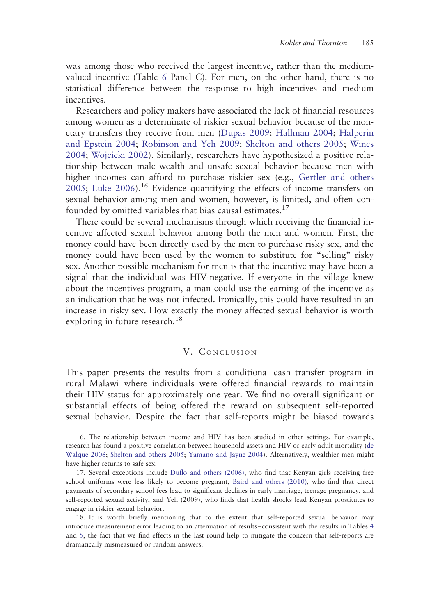was among those who received the largest incentive, rather than the mediumvalued incentive (Table [6](#page-19-0) Panel C). For men, on the other hand, there is no statistical difference between the response to high incentives and medium incentives.

Researchers and policy makers have associated the lack of financial resources among women as a determinate of riskier sexual behavior because of the monetary transfers they receive from men [\(Dupas 2009](#page-23-0); [Hallman 2004](#page-23-0); [Halperin](#page-23-0) [and Epstein 2004;](#page-23-0) [Robinson and Yeh 2009](#page-24-0); [Shelton and others 2005;](#page-24-0) [Wines](#page-25-0) [2004](#page-25-0); [Wojcicki 2002](#page-25-0)). Similarly, researchers have hypothesized a positive relationship between male wealth and unsafe sexual behavior because men with higher incomes can afford to purchase riskier sex (e.g., [Gertler and others](#page-23-0) [2005](#page-23-0); Luke  $2006$ .<sup>16</sup> Evidence quantifying the effects of income transfers on sexual behavior among men and women, however, is limited, and often confounded by omitted variables that bias causal estimates.<sup>17</sup>

There could be several mechanisms through which receiving the financial incentive affected sexual behavior among both the men and women. First, the money could have been directly used by the men to purchase risky sex, and the money could have been used by the women to substitute for "selling" risky sex. Another possible mechanism for men is that the incentive may have been a signal that the individual was HIV-negative. If everyone in the village knew about the incentives program, a man could use the earning of the incentive as an indication that he was not infected. Ironically, this could have resulted in an increase in risky sex. How exactly the money affected sexual behavior is worth exploring in future research.<sup>18</sup>

#### V. CONCLUSION

This paper presents the results from a conditional cash transfer program in rural Malawi where individuals were offered financial rewards to maintain their HIV status for approximately one year. We find no overall significant or substantial effects of being offered the reward on subsequent self-reported sexual behavior. Despite the fact that self-reports might be biased towards

16. The relationship between income and HIV has been studied in other settings. For example, research has found a positive correlation between household assets and HIV or early adult mortality ([de](#page-22-0) [Walque 2006;](#page-22-0) [Shelton and others 2005](#page-24-0); [Yamano and Jayne 2004\)](#page-25-0). Alternatively, wealthier men might have higher returns to safe sex.

17. Several exceptions include [Duflo and others \(2006\),](#page-23-0) who find that Kenyan girls receiving free school uniforms were less likely to become pregnant, [Baird and others \(2010\),](#page-22-0) who find that direct payments of secondary school fees lead to significant declines in early marriage, teenage pregnancy, and self-reported sexual activity, and Yeh (2009), who finds that health shocks lead Kenyan prostitutes to engage in riskier sexual behavior.

18. It is worth briefly mentioning that to the extent that self-reported sexual behavior may introduce measurement error leading to an attenuation of results–consistent with the results in Tables [4](#page-14-0) and [5](#page-16-0), the fact that we find effects in the last round help to mitigate the concern that self-reports are dramatically mismeasured or random answers.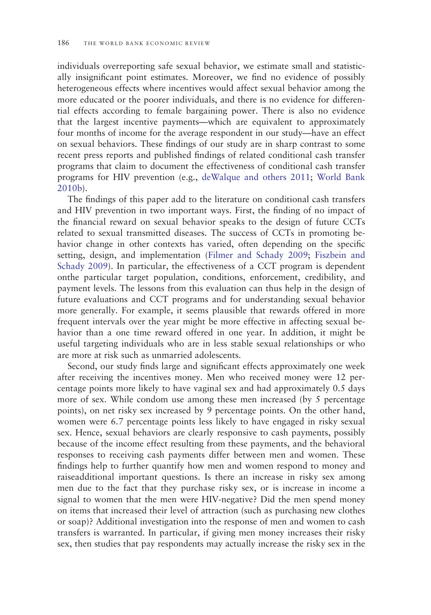individuals overreporting safe sexual behavior, we estimate small and statistically insignificant point estimates. Moreover, we find no evidence of possibly heterogeneous effects where incentives would affect sexual behavior among the more educated or the poorer individuals, and there is no evidence for differential effects according to female bargaining power. There is also no evidence that the largest incentive payments—which are equivalent to approximately four months of income for the average respondent in our study—have an effect on sexual behaviors. These findings of our study are in sharp contrast to some recent press reports and published findings of related conditional cash transfer programs that claim to document the effectiveness of conditional cash transfer programs for HIV prevention (e.g., [deWalque and others 2011;](#page-23-0) [World Bank](#page-25-0) [2010b\)](#page-25-0).

The findings of this paper add to the literature on conditional cash transfers and HIV prevention in two important ways. First, the finding of no impact of the financial reward on sexual behavior speaks to the design of future CCTs related to sexual transmitted diseases. The success of CCTs in promoting behavior change in other contexts has varied, often depending on the specific setting, design, and implementation [\(Filmer and Schady 2009;](#page-23-0) [Fiszbein and](#page-23-0) [Schady 2009](#page-23-0)). In particular, the effectiveness of a CCT program is dependent onthe particular target population, conditions, enforcement, credibility, and payment levels. The lessons from this evaluation can thus help in the design of future evaluations and CCT programs and for understanding sexual behavior more generally. For example, it seems plausible that rewards offered in more frequent intervals over the year might be more effective in affecting sexual behavior than a one time reward offered in one year. In addition, it might be useful targeting individuals who are in less stable sexual relationships or who are more at risk such as unmarried adolescents.

Second, our study finds large and significant effects approximately one week after receiving the incentives money. Men who received money were 12 percentage points more likely to have vaginal sex and had approximately 0.5 days more of sex. While condom use among these men increased (by 5 percentage points), on net risky sex increased by 9 percentage points. On the other hand, women were 6.7 percentage points less likely to have engaged in risky sexual sex. Hence, sexual behaviors are clearly responsive to cash payments, possibly because of the income effect resulting from these payments, and the behavioral responses to receiving cash payments differ between men and women. These findings help to further quantify how men and women respond to money and raiseadditional important questions. Is there an increase in risky sex among men due to the fact that they purchase risky sex, or is increase in income a signal to women that the men were HIV-negative? Did the men spend money on items that increased their level of attraction (such as purchasing new clothes or soap)? Additional investigation into the response of men and women to cash transfers is warranted. In particular, if giving men money increases their risky sex, then studies that pay respondents may actually increase the risky sex in the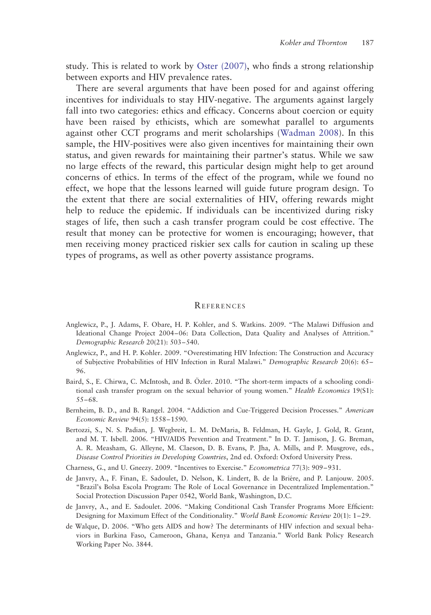<span id="page-22-0"></span>study. This is related to work by [Oster \(2007\),](#page-24-0) who finds a strong relationship between exports and HIV prevalence rates.

There are several arguments that have been posed for and against offering incentives for individuals to stay HIV-negative. The arguments against largely fall into two categories: ethics and efficacy. Concerns about coercion or equity have been raised by ethicists, which are somewhat parallel to arguments against other CCT programs and merit scholarships ([Wadman 2008](#page-24-0)). In this sample, the HIV-positives were also given incentives for maintaining their own status, and given rewards for maintaining their partner's status. While we saw no large effects of the reward, this particular design might help to get around concerns of ethics. In terms of the effect of the program, while we found no effect, we hope that the lessons learned will guide future program design. To the extent that there are social externalities of HIV, offering rewards might help to reduce the epidemic. If individuals can be incentivized during risky stages of life, then such a cash transfer program could be cost effective. The result that money can be protective for women is encouraging; however, that men receiving money practiced riskier sex calls for caution in scaling up these types of programs, as well as other poverty assistance programs.

#### **REFERENCES**

- Anglewicz, P., J. Adams, F. Obare, H. P. Kohler, and S. Watkins. 2009. "The Malawi Diffusion and Ideational Change Project 2004–06: Data Collection, Data Quality and Analyses of Attrition." Demographic Research 20(21): 503 –540.
- Anglewicz, P., and H. P. Kohler. 2009. "Overestimating HIV Infection: The Construction and Accuracy of Subjective Probabilities of HIV Infection in Rural Malawi." Demographic Research 20(6): 65 – 96.
- Baird, S., E. Chirwa, C. McIntosh, and B. Özler. 2010. "The short-term impacts of a schooling conditional cash transfer program on the sexual behavior of young women." Health Economics 19(S1): 55–68.
- Bernheim, B. D., and B. Rangel. 2004. "Addiction and Cue-Triggered Decision Processes." American Economic Review 94(5): 1558–1590.
- Bertozzi, S., N. S. Padian, J. Wegbreit, L. M. DeMaria, B. Feldman, H. Gayle, J. Gold, R. Grant, and M. T. Isbell. 2006. "HIV/AIDS Prevention and Treatment." In D. T. Jamison, J. G. Breman, A. R. Measham, G. Alleyne, M. Claeson, D. B. Evans, P. Jha, A. Mills, and P. Musgrove, eds., Disease Control Priorities in Developing Countries, 2nd ed. Oxford: Oxford University Press.
- Charness, G., and U. Gneezy. 2009. "Incentives to Exercise." Econometrica 77(3): 909–931.
- de Janvry, A., F. Finan, E. Sadoulet, D. Nelson, K. Lindert, B. de la Briére, and P. Lanjouw. 2005. "Brazil's Bolsa Escola Program: The Role of Local Governance in Decentralized Implementation." Social Protection Discussion Paper 0542, World Bank, Washington, D.C.
- de Janvry, A., and E. Sadoulet. 2006. "Making Conditional Cash Transfer Programs More Efficient: Designing for Maximum Effect of the Conditionality." World Bank Economic Review 20(1): 1-29.
- de Walque, D. 2006. "Who gets AIDS and how? The determinants of HIV infection and sexual behaviors in Burkina Faso, Cameroon, Ghana, Kenya and Tanzania." World Bank Policy Research Working Paper No. 3844.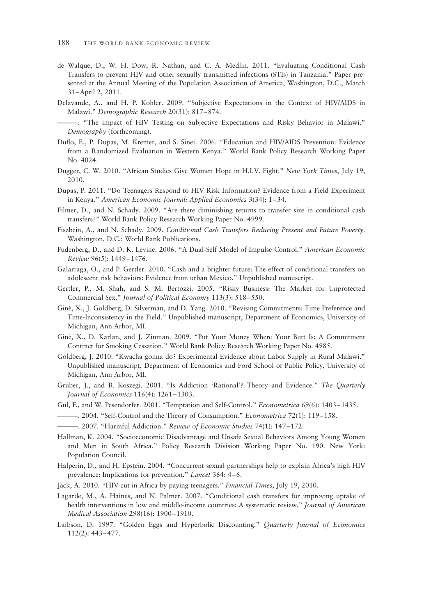- <span id="page-23-0"></span>de Walque, D., W. H. Dow, R. Nathan, and C. A. Medlin. 2011. "Evaluating Conditional Cash Transfers to prevent HIV and other sexually transmitted infections (STIs) in Tanzania." Paper presented at the Annual Meeting of the Population Association of America, Washington, D.C., March 31 –April 2, 2011.
- Delavande, A., and H. P. Kohler. 2009. "Subjective Expectations in the Context of HIV/AIDS in Malawi." Demographic Research 20(31): 817–874.
	- ———. "The impact of HIV Testing on Subjective Expectations and Risky Behavior in Malawi." Demography (forthcoming).
- Duflo, E., P. Dupas, M. Kremer, and S. Sinei. 2006. "Education and HIV/AIDS Prevention: Evidence from a Randomized Evaluation in Western Kenya." World Bank Policy Research Working Paper No. 4024.
- Dugger, C. W. 2010. "African Studies Give Women Hope in H.I.V. Fight." New York Times, July 19, 2010.
- Dupas, P. 2011. "Do Teenagers Respond to HIV Risk Information? Evidence from a Field Experiment in Kenya." American Economic Journal: Applied Economics 3(34): 1 –34.
- Filmer, D., and N. Schady. 2009. "Are there diminishing returns to transfer size in conditional cash transfers?" World Bank Policy Research Working Paper No. 4999.
- Fiszbein, A., and N. Schady. 2009. Conditional Cash Transfers Reducing Present and Future Poverty. Washington, D.C.: World Bank Publications.
- Fudenberg, D., and D. K. Levine. 2006. "A Dual-Self Model of Impulse Control." American Economic Review 96(5): 1449–1476.
- Galarraga, O., and P. Gertler. 2010. "Cash and a brighter future: The effect of conditional transfers on adolescent risk behaviors: Evidence from urban Mexico." Unpublished manuscript.
- Gertler, P., M. Shah, and S. M. Bertozzi. 2005. "Risky Business: The Market for Unprotected Commercial Sex." Journal of Political Economy 113(3): 518–550.
- Giné, X., J. Goldberg, D. Silverman, and D. Yang. 2010. "Revising Commitments: Time Preference and Time-Inconsistency in the Field." Unpublished manuscript, Department of Economics, University of Michigan, Ann Arbor, MI.
- Gine´, X., D. Karlan, and J. Zinman. 2009. "Put Your Money Where Your Butt Is: A Commitment Contract for Smoking Cessation." World Bank Policy Research Working Paper No. 4985.
- Goldberg, J. 2010. "Kwacha gonna do? Experimental Evidence about Labor Supply in Rural Malawi." Unpublished manuscript, Department of Economics and Ford School of Public Policy, University of Michigan, Ann Arbor, MI.
- Gruber, J., and B. Koszegi. 2001. "Is Addiction 'Rational'? Theory and Evidence." The Quarterly Journal of Economics 116(4): 1261–1303.
- Gul, F., and W. Pesendorfer. 2001. "Temptation and Self-Control." Econometrica 69(6): 1403–1435.
- ———. 2004. "Self-Control and the Theory of Consumption." *Econometrica* 72(1): 119–158.
	- -. 2007. "Harmful Addiction." Review of Economic Studies 74(1): 147-172.
- Hallman, K. 2004. "Socioeconomic Disadvantage and Unsafe Sexual Behaviors Among Young Women and Men in South Africa." Policy Research Division Working Paper No. 190. New York: Population Council.
- Halperin, D., and H. Epstein. 2004. "Concurrent sexual partnerships help to explain Africa's high HIV prevalence: Implications for prevention." Lancet 364: 4 –6.
- Jack, A. 2010. "HIV cut in Africa by paying teenagers." Financial Times, July 19, 2010.
- Lagarde, M., A. Haines, and N. Palmer. 2007. "Conditional cash transfers for improving uptake of health interventions in low and middle-income countries: A systematic review." Journal of American Medical Association 298(16): 1900–1910.
- Laibson, D. 1997. "Golden Eggs and Hyperbolic Discounting." Quarterly Journal of Economics 112(2): 443–477.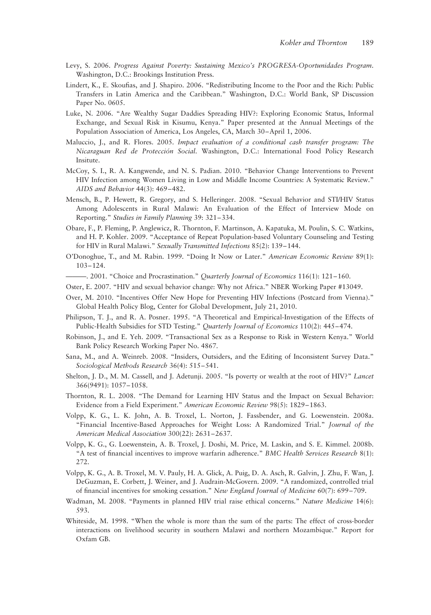- <span id="page-24-0"></span>Levy, S. 2006. Progress Against Poverty: Sustaining Mexico's PROGRESA-Oportunidades Program. Washington, D.C.: Brookings Institution Press.
- Lindert, K., E. Skoufias, and J. Shapiro. 2006. "Redistributing Income to the Poor and the Rich: Public Transfers in Latin America and the Caribbean." Washington, D.C.: World Bank, SP Discussion Paper No. 0605.
- Luke, N. 2006. "Are Wealthy Sugar Daddies Spreading HIV?: Exploring Economic Status, Informal Exchange, and Sexual Risk in Kisumu, Kenya." Paper presented at the Annual Meetings of the Population Association of America, Los Angeles, CA, March 30–April 1, 2006.
- Maluccio, J., and R. Flores. 2005. Impact evaluation of a conditional cash transfer program: The Nicaraguan Red de Protección Social. Washington, D.C.: International Food Policy Research Insitute.
- McCoy, S. I., R. A. Kangwende, and N. S. Padian. 2010. "Behavior Change Interventions to Prevent HIV Infection among Women Living in Low and Middle Income Countries: A Systematic Review." AIDS and Behavior 44(3): 469–482.
- Mensch, B., P. Hewett, R. Gregory, and S. Helleringer. 2008. "Sexual Behavior and STI/HIV Status Among Adolescents in Rural Malawi: An Evaluation of the Effect of Interview Mode on Reporting." Studies in Family Planning 39: 321–334.
- Obare, F., P. Fleming, P. Anglewicz, R. Thornton, F. Martinson, A. Kapatuka, M. Poulin, S. C. Watkins, and H. P. Kohler. 2009. "Acceptance of Repeat Population-based Voluntary Counseling and Testing for HIV in Rural Malawi." Sexually Transmitted Infections 85(2): 139–144.
- O'Donoghue, T., and M. Rabin. 1999. "Doing It Now or Later." American Economic Review 89(1): 103–124.
- ———. 2001. "Choice and Procrastination." Quarterly Journal of Economics 116(1): 121–160.
- Oster, E. 2007. "HIV and sexual behavior change: Why not Africa." NBER Working Paper #13049.
- Over, M. 2010. "Incentives Offer New Hope for Preventing HIV Infections (Postcard from Vienna)." Global Health Policy Blog, Center for Global Development, July 21, 2010.
- Philipson, T. J., and R. A. Posner. 1995. "A Theoretical and Empirical-Investigation of the Effects of Public-Health Subsidies for STD Testing." Quarterly Journal of Economics 110(2): 445-474.
- Robinson, J., and E. Yeh. 2009. "Transactional Sex as a Response to Risk in Western Kenya." World Bank Policy Research Working Paper No. 4867.
- Sana, M., and A. Weinreb. 2008. "Insiders, Outsiders, and the Editing of Inconsistent Survey Data." Sociological Methods Research 36(4): 515–541.
- Shelton, J. D., M. M. Cassell, and J. Adetunji. 2005. "Is poverty or wealth at the root of HIV?" Lancet 366(9491): 1057–1058.
- Thornton, R. L. 2008. "The Demand for Learning HIV Status and the Impact on Sexual Behavior: Evidence from a Field Experiment." American Economic Review 98(5): 1829–1863.
- Volpp, K. G., L. K. John, A. B. Troxel, L. Norton, J. Fassbender, and G. Loewenstein. 2008a. "Financial Incentive-Based Approaches for Weight Loss: A Randomized Trial." Journal of the American Medical Association 300(22): 2631–2637.
- Volpp, K. G., G. Loewenstein, A. B. Troxel, J. Doshi, M. Price, M. Laskin, and S. E. Kimmel. 2008b. "A test of financial incentives to improve warfarin adherence." BMC Health Services Research 8(1): 272.
- Volpp, K. G., A. B. Troxel, M. V. Pauly, H. A. Glick, A. Puig, D. A. Asch, R. Galvin, J. Zhu, F. Wan, J. DeGuzman, E. Corbett, J. Weiner, and J. Audrain-McGovern. 2009. "A randomized, controlled trial of financial incentives for smoking cessation." New England Journal of Medicine 60(7): 699–709.
- Wadman, M. 2008. "Payments in planned HIV trial raise ethical concerns." Nature Medicine 14(6): 593.
- Whiteside, M. 1998. "When the whole is more than the sum of the parts: The effect of cross-border interactions on livelihood security in southern Malawi and northern Mozambique." Report for Oxfam GB.